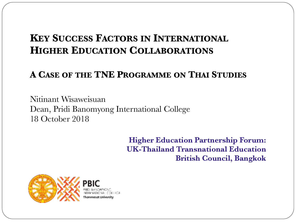### **KEY SUCCESS FACTORS IN INTERNATIONAL HIGHER EDUCATION COLLABORATIONS**

#### **A CASE OF THE TNE PROGRAMME ON THAI STUDIES**

Nitinant Wisaweisuan Dean, Pridi Banomyong International College 18 October 2018

> **Higher Education Partnership Forum: UK-Thailand Transnational Education British Council, Bangkok**

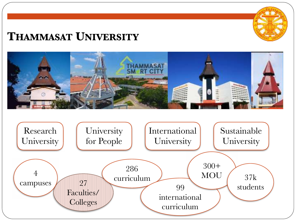# **THAMMASAT UNIVERSITY**





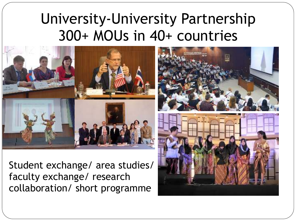# University-University Partnership 300+ MOUs in 40+ countries



Student exchange/ area studies/ faculty exchange/ research collaboration/ short programme

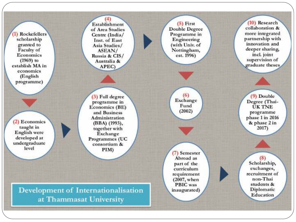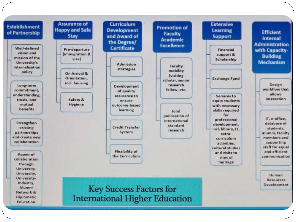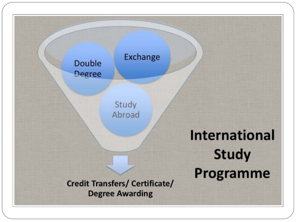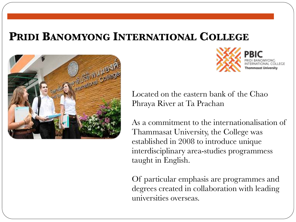### **PRIDI BANOMYONG INTERNATIONAL COLLEGE**





Located on the eastern bank of the Chao Phraya River at Ta Prachan

As a commitment to the internationalisation of Thammasat University, the College was established in 2008 to introduce unique interdisciplinary area-studies programmess taught in English.

Of particular emphasis are programmes and degrees created in collaboration with leading universities overseas.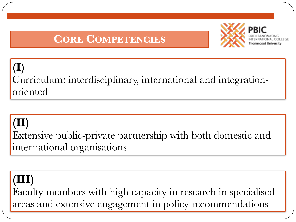# **CORE COMPETENCIES**



**(I)**  Curriculum: interdisciplinary, international and integrationoriented

# **(II)**

Extensive public-private partnership with both domestic and international organisations

### **(III)**

Faculty members with high capacity in research in specialised areas and extensive engagement in policy recommendations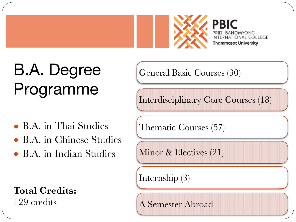

**PBIC** MYONG. INTERNATIONAL COLLEGE **Thammasat University** 

# B.A. Degree Programme

- B.A. in Thai Studies
- B.A. in Chinese Studies
- B.A. in Indian Studies

### **Total Credits:** 129 credits

General Basic Courses (30)

Interdisciplinary Core Courses (18)

Thematic Courses (57)

Minor & Electives (21)

Internship (3)

A Semester Abroad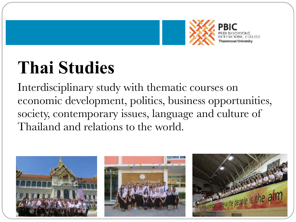

# **Thai Studies**

Interdisciplinary study with thematic courses on economic development, politics, business opportunities, society, contemporary issues, language and culture of Thailand and relations to the world.

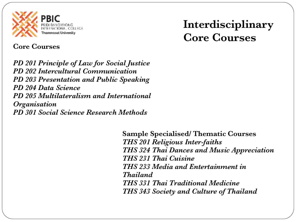

# **Interdisciplinary Core Courses**

#### **Core Courses**

*PD 201 Principle of Law for Social Justice PD 202 Intercultural Communication PD 203 Presentation and Public Speaking PD 204 Data Science PD 205 Multilateralism and International Organisation PD 301 Social Science Research Methods*

> **Sample Specialised/ Thematic Courses** *THS 201 Religious Inter-faiths THS 324 Thai Dances and Music Appreciation THS 231 Thai Cuisine THS 233 Media and Entertainment in Thailand THS 331 Thai Traditional Medicine THS 343 Society and Culture of Thailand*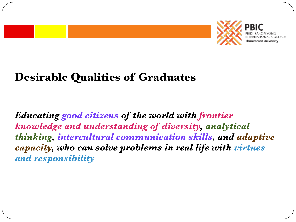

# **Desirable Qualities of Graduates**

*Educating good citizens of the world with frontier knowledge and understanding of diversity, analytical thinking, intercultural communication skills, and adaptive capacity, who can solve problems in real life with virtues and responsibility*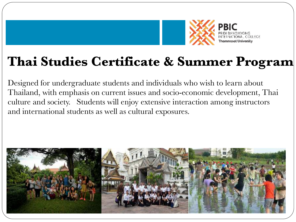

# **Thai Studies Certificate & Summer Program**

Designed for undergraduate students and individuals who wish to learn about Thailand, with emphasis on current issues and socio-economic development, Thai culture and society. Students will enjoy extensive interaction among instructors and international students as well as cultural exposures.

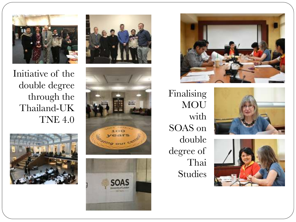

Initiative of the double degree through the Thailand-UK TNE 4.0















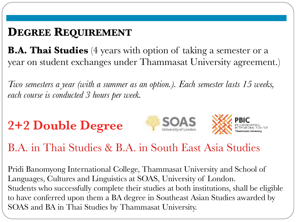# **DEGREE REQUIREMENT**

**B.A. Thai Studies** (4 years with option of taking a semester or a year on student exchanges under Thammasat University agreement.)

*Two semesters a year (with a summer as an option.). Each semester lasts 15 weeks, each course is conducted 3 hours per week.* 

# **2+2 Double Degree**





# B.A. in Thai Studies & B.A. in South East Asia Studies

Pridi Banomyong International College, Thammasat University and School of Languages, Cultures and Linguistics at SOAS, University of London. Students who successfully complete their studies at both institutions, shall be eligible to have conferred upon them a BA degree in Southeast Asian Studies awarded by SOAS and BA in Thai Studies by Thammasat University.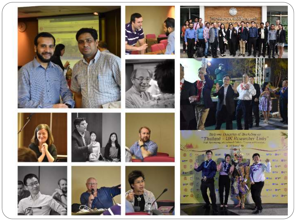













œ





 $\label{eq:2} \begin{array}{ll} \textit{Weleom:} \textit{Twigates of theckshup on}\\ \textit{``Theiland - UK Researcher} \textit{This''} \\ \textit{rat becomes at the best of OCA's T-const.}\\ \textit{In this''} \\ \textit{In this''} \\ \textit{In this''} \\ \textit{In this''} \\ \textit{In this''} \\ \textit{In this''} \\ \textit{In this''} \\ \textit{In this''} \\ \textit{In this''} \\ \textit{In this''} \\ \textit{In this''} \\ \textit{In this''} \\ \textit{In this''} \\ \textit{In this''} \\ \textit{In this''} \\ \textit{In this''} \\ \$ **CIALIANA** 

**BMA** Bien

显相图 調子

814 3P\*

**BASE STOP** 

**MARK BOOK** 三位 首任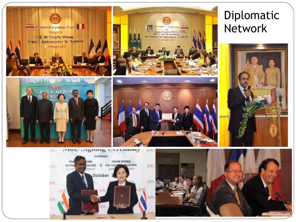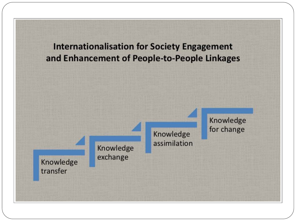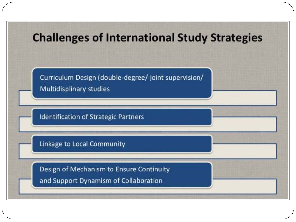